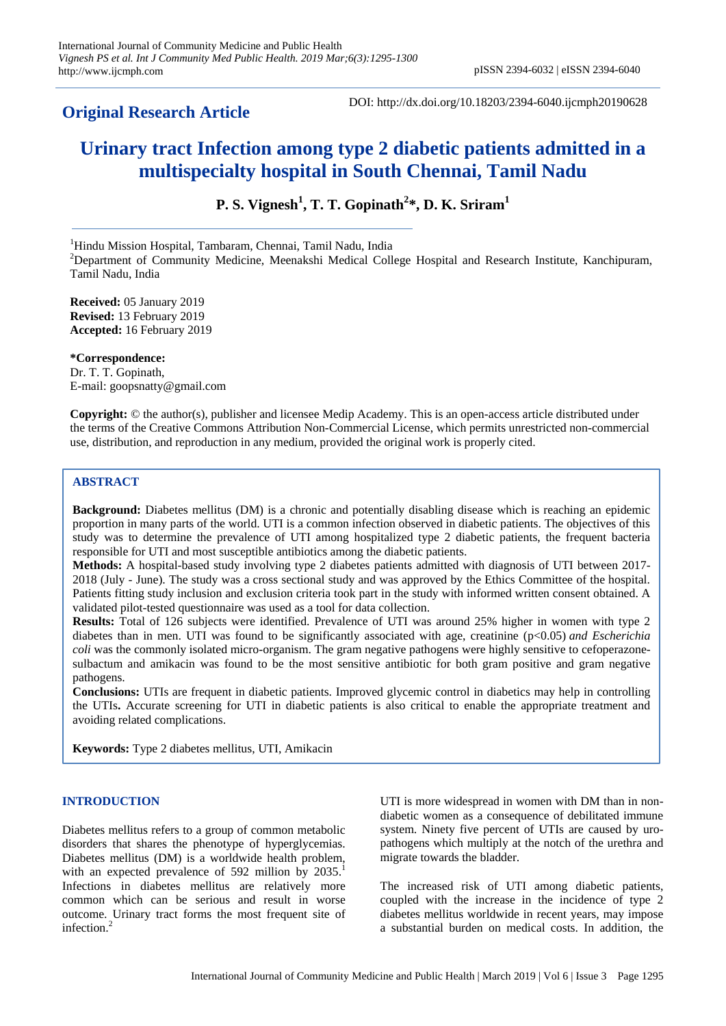# **Original Research Article**

DOI: http://dx.doi.org/10.18203/2394-6040.ijcmph20190628

# **Urinary tract Infection among type 2 diabetic patients admitted in a multispecialty hospital in South Chennai, Tamil Nadu**

**P. S. Vignesh<sup>1</sup> , T. T. Gopinath<sup>2</sup> \*, D. K. Sriram<sup>1</sup>**

<sup>1</sup>Hindu Mission Hospital, Tambaram, Chennai, Tamil Nadu, India

<sup>2</sup>Department of Community Medicine, Meenakshi Medical College Hospital and Research Institute, Kanchipuram, Tamil Nadu, India

**Received:** 05 January 2019 **Revised:** 13 February 2019 **Accepted:** 16 February 2019

**\*Correspondence:** Dr. T. T. Gopinath, E-mail: goopsnatty@gmail.com

**Copyright:** © the author(s), publisher and licensee Medip Academy. This is an open-access article distributed under the terms of the Creative Commons Attribution Non-Commercial License, which permits unrestricted non-commercial use, distribution, and reproduction in any medium, provided the original work is properly cited.

# **ABSTRACT**

**Background:** Diabetes mellitus (DM) is a chronic and potentially disabling disease which is reaching an epidemic proportion in many parts of the world. UTI is a common infection observed in diabetic patients. The objectives of this study was to determine the prevalence of UTI among hospitalized type 2 diabetic patients, the frequent bacteria responsible for UTI and most susceptible antibiotics among the diabetic patients.

**Methods:** A hospital-based study involving type 2 diabetes patients admitted with diagnosis of UTI between 2017- 2018 (July - June). The study was a cross sectional study and was approved by the Ethics Committee of the hospital. Patients fitting study inclusion and exclusion criteria took part in the study with informed written consent obtained. A validated pilot-tested questionnaire was used as a tool for data collection.

**Results:** Total of 126 subjects were identified. Prevalence of UTI was around 25% higher in women with type 2 diabetes than in men. UTI was found to be significantly associated with age, creatinine (p<0.05) *and Escherichia coli* was the commonly isolated micro-organism. The gram negative pathogens were highly sensitive to cefoperazonesulbactum and amikacin was found to be the most sensitive antibiotic for both gram positive and gram negative pathogens.

**Conclusions:** UTIs are frequent in diabetic patients. Improved glycemic control in diabetics may help in controlling the UTIs**.** Accurate screening for UTI in diabetic patients is also critical to enable the appropriate treatment and avoiding related complications.

**Keywords:** Type 2 diabetes mellitus, UTI, Amikacin

#### **INTRODUCTION**

Diabetes mellitus refers to a group of common metabolic disorders that shares the phenotype of hyperglycemias. Diabetes mellitus (DM) is a worldwide health problem, with an expected prevalence of 592 million by 2035.<sup>1</sup> Infections in diabetes mellitus are relatively more common which can be serious and result in worse outcome. Urinary tract forms the most frequent site of infection. 2

UTI is more widespread in women with DM than in nondiabetic women as a consequence of debilitated immune system. Ninety five percent of UTIs are caused by uropathogens which multiply at the notch of the urethra and migrate towards the bladder.

The increased risk of UTI among diabetic patients, coupled with the increase in the incidence of type 2 diabetes mellitus worldwide in recent years, may impose a substantial burden on medical costs. In addition, the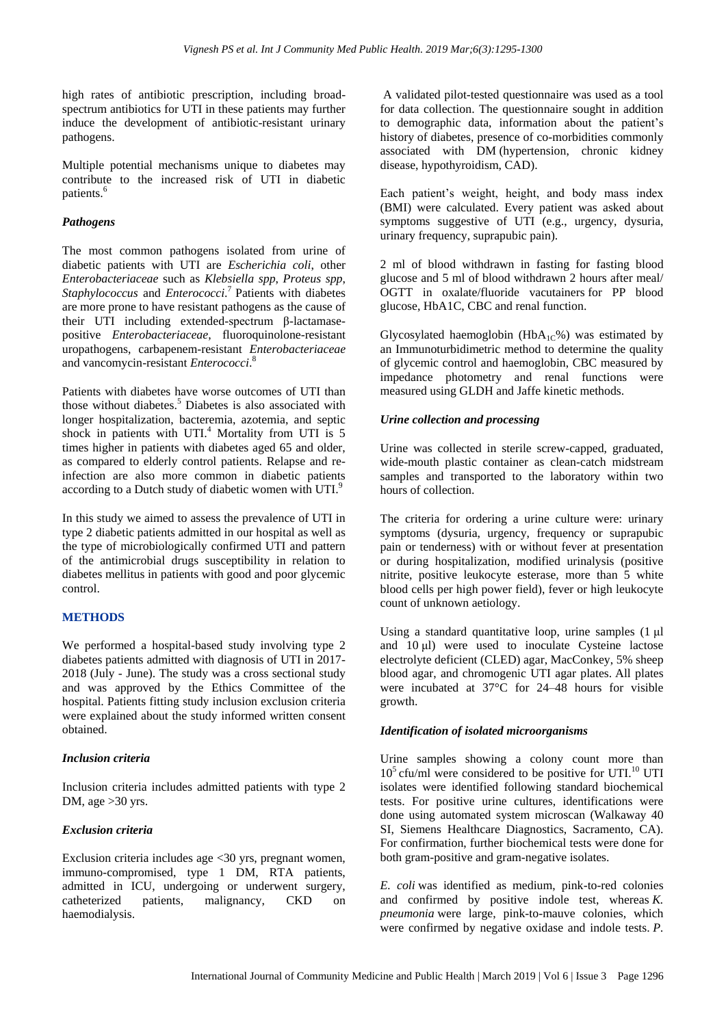high rates of antibiotic prescription, including broadspectrum antibiotics for UTI in these patients may further induce the development of antibiotic-resistant urinary pathogens.

Multiple potential mechanisms unique to diabetes may contribute to the increased risk of UTI in diabetic patients. 6

# *Pathogens*

The most common pathogens isolated from urine of diabetic patients with UTI are *Escherichia coli*, other *Enterobacteriaceae* such as *Klebsiella spp*, *Proteus spp*, *Staphylococcus* and *Enterococci*. 7 Patients with diabetes are more prone to have resistant pathogens as the cause of their UTI including extended-spectrum β-lactamasepositive *Enterobacteriaceae*, fluoroquinolone-resistant uropathogens, carbapenem-resistant *Enterobacteriaceae* and vancomycin-resistant *Enterococci*. 8

Patients with diabetes have worse outcomes of UTI than those without diabetes. <sup>5</sup> Diabetes is also associated with longer hospitalization, bacteremia, azotemia, and septic shock in patients with UTI.<sup>4</sup> Mortality from UTI is 5 times higher in patients with diabetes aged 65 and older, as compared to elderly control patients. Relapse and reinfection are also more common in diabetic patients according to a Dutch study of diabetic women with UTI. $^{9}$ 

In this study we aimed to assess the prevalence of UTI in type 2 diabetic patients admitted in our hospital as well as the type of microbiologically confirmed UTI and pattern of the antimicrobial drugs susceptibility in relation to diabetes mellitus in patients with good and poor glycemic control.

# **METHODS**

We performed a hospital-based study involving type 2 diabetes patients admitted with diagnosis of UTI in 2017- 2018 (July - June). The study was a cross sectional study and was approved by the Ethics Committee of the hospital. Patients fitting study inclusion exclusion criteria were explained about the study informed written consent obtained.

# *Inclusion criteria*

Inclusion criteria includes admitted patients with type 2 DM, age > 30 yrs.

# *Exclusion criteria*

Exclusion criteria includes age <30 yrs, pregnant women, immuno-compromised, type 1 DM, RTA patients, admitted in ICU, undergoing or underwent surgery, catheterized patients, malignancy, CKD on haemodialysis.

A validated pilot-tested questionnaire was used as a tool for data collection. The questionnaire sought in addition to demographic data, information about the patient's history of diabetes, presence of co-morbidities commonly associated with DM (hypertension, chronic kidney disease, hypothyroidism, CAD).

Each patient's weight, height, and body mass index (BMI) were calculated. Every patient was asked about symptoms suggestive of UTI (e.g., urgency, dysuria, urinary frequency, suprapubic pain).

2 ml of blood withdrawn in fasting for fasting blood glucose and 5 ml of blood withdrawn 2 hours after meal/ OGTT in oxalate/fluoride vacutainers for PP blood glucose, HbA1C, CBC and renal function.

Glycosylated haemoglobin ( $HbA_{1C}\%$ ) was estimated by an Immunoturbidimetric method to determine the quality of glycemic control and haemoglobin, CBC measured by impedance photometry and renal functions were measured using GLDH and Jaffe kinetic methods.

# *Urine collection and processing*

Urine was collected in sterile screw-capped, graduated, wide-mouth plastic container as clean-catch midstream samples and transported to the laboratory within two hours of collection.

The criteria for ordering a urine culture were: urinary symptoms (dysuria, urgency, frequency or suprapubic pain or tenderness) with or without fever at presentation or during hospitalization, modified urinalysis (positive nitrite, positive leukocyte esterase, more than 5 white blood cells per high power field), fever or high leukocyte count of unknown aetiology.

Using a standard quantitative loop, urine samples (1 μl and 10 μl) were used to inoculate Cysteine lactose electrolyte deficient (CLED) agar, MacConkey, 5% sheep blood agar, and chromogenic UTI agar plates. All plates were incubated at 37°C for 24–48 hours for visible growth.

# *Identification of isolated microorganisms*

Urine samples showing a colony count more than  $10<sup>5</sup>$  cfu/ml were considered to be positive for UTI.<sup>10</sup> UTI isolates were identified following standard biochemical tests. For positive urine cultures, identifications were done using automated system microscan (Walkaway 40 SI, Siemens Healthcare Diagnostics, Sacramento, CA). For confirmation, further biochemical tests were done for both gram-positive and gram-negative isolates.

*E. coli* was identified as medium, pink-to-red colonies and confirmed by positive indole test, whereas *K. pneumonia* were large, pink-to-mauve colonies, which were confirmed by negative oxidase and indole tests. *P.*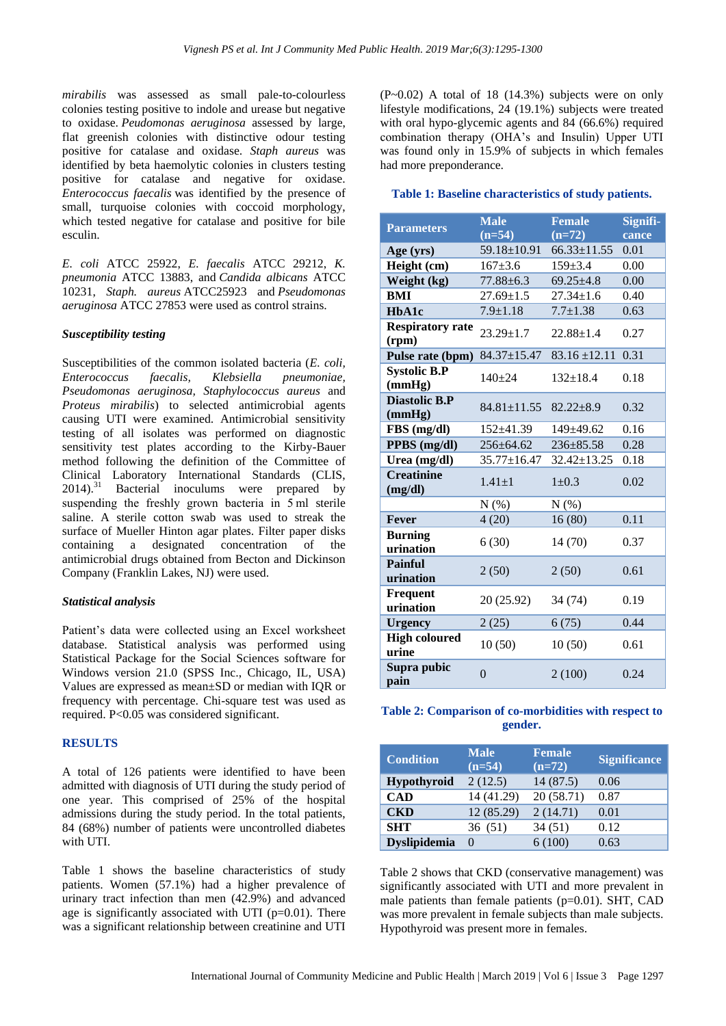*mirabilis* was assessed as small pale-to-colourless colonies testing positive to indole and urease but negative to oxidase. *Peudomonas aeruginosa* assessed by large, flat greenish colonies with distinctive odour testing positive for catalase and oxidase. *Staph aureus* was identified by beta haemolytic colonies in clusters testing positive for catalase and negative for oxidase. *Enterococcus faecalis* was identified by the presence of small, turquoise colonies with coccoid morphology, which tested negative for catalase and positive for bile esculin.

*E. coli* ATCC 25922, *E. faecalis* ATCC 29212, *K. pneumonia* ATCC 13883, and *Candida albicans* ATCC 10231, *Staph. aureus* ATCC25923 and *Pseudomonas aeruginosa* ATCC 27853 were used as control strains.

#### *Susceptibility testing*

Susceptibilities of the common isolated bacteria (*E. coli, Enterococcus faecalis, Klebsiella pneumoniae, Pseudomonas aeruginosa, Staphylococcus aureus* and *Proteus mirabilis*) to selected antimicrobial agents causing UTI were examined. Antimicrobial sensitivity testing of all isolates was performed on diagnostic sensitivity test plates according to the Kirby-Bauer method following the definition of the Committee of Clinical Laboratory International Standards (CLIS,  $2014$ .<sup>31</sup> Bacterial inoculums were prepared by suspending the freshly grown bacteria in 5 ml sterile saline. A sterile cotton swab was used to streak the surface of Mueller Hinton agar plates. Filter paper disks containing a designated concentration of the antimicrobial drugs obtained from Becton and Dickinson Company (Franklin Lakes, NJ) were used.

#### *Statistical analysis*

Patient's data were collected using an Excel worksheet database. Statistical analysis was performed using Statistical Package for the Social Sciences software for Windows version 21.0 (SPSS Inc., Chicago, IL, USA) Values are expressed as mean±SD or median with IQR or frequency with percentage. Chi-square test was used as required. P<0.05 was considered significant.

## **RESULTS**

A total of 126 patients were identified to have been admitted with diagnosis of UTI during the study period of one year. This comprised of 25% of the hospital admissions during the study period. In the total patients, 84 (68%) number of patients were uncontrolled diabetes with UTI.

Table 1 shows the baseline characteristics of study patients. Women (57.1%) had a higher prevalence of urinary tract infection than men (42.9%) and advanced age is significantly associated with UTI ( $p=0.01$ ). There was a significant relationship between creatinine and UTI  $(P~0.02)$  A total of 18 (14.3%) subjects were on only lifestyle modifications, 24 (19.1%) subjects were treated with oral hypo-glycemic agents and 84 (66.6%) required combination therapy (OHA's and Insulin) Upper UTI was found only in 15.9% of subjects in which females had more preponderance.

#### **Table 1: Baseline characteristics of study patients.**

| <b>Parameters</b>                | <b>Male</b><br>$(n=54)$ | <b>Female</b><br>$(n=72)$ | Signifi-<br>cance |
|----------------------------------|-------------------------|---------------------------|-------------------|
| Age (yrs)                        | $59.18 \pm 10.91$       | $66.33 \pm 11.55$         | 0.01              |
| Height (cm)                      | $167 + 3.6$             | $159 \pm 3.4$             | 0.00              |
| Weight (kg)                      | $77.88 \pm 6.3$         | $69.25 \pm 4.8$           | 0.00              |
| BMI                              | $27.69 \pm 1.5$         | $27.34 \pm 1.6$           | 0.40              |
| HbA1c                            | $7.9 \pm 1.18$          | $7.7 \pm 1.38$            | 0.63              |
| <b>Respiratory rate</b><br>(rpm) | $23.29 \pm 1.7$         | $22.88 \pm 1.4$           | 0.27              |
| Pulse rate (bpm)                 | $84.37 \pm 15.47$       | $83.16 \pm 12.11$         | 0.31              |
| <b>Systolic B.P</b><br>(mmHg)    | $140+24$                | $132+18.4$                | 0.18              |
| <b>Diastolic B.P</b><br>(mmHg)   | $84.81 \pm 11.55$       | $82.22 \pm 8.9$           | 0.32              |
| FBS (mg/dl)                      | $152 \pm 41.39$         | $149 \pm 49.62$           | 0.16              |
| PPBS (mg/dl)                     | 256±64.62               | $236 \pm 85.58$           | 0.28              |
| Urea (mg/dl)                     | $35.77 \pm 16.47$       | 32.42±13.25               | 0.18              |
| <b>Creatinine</b><br>(mg/dl)     | $1.41 \pm 1$            | $1 \pm 0.3$               | 0.02              |
|                                  | N(% )                   | N(% )                     |                   |
| Fever                            | 4(20)                   | 16(80)                    | 0.11              |
| <b>Burning</b><br>urination      | 6(30)                   | 14(70)                    | 0.37              |
| <b>Painful</b><br>urination      | 2(50)                   | 2(50)                     | 0.61              |
| Frequent<br>urination            | 20 (25.92)              | 34 (74)                   | 0.19              |
| <b>Urgency</b>                   | 2(25)                   | 6(75)                     | 0.44              |
| <b>High coloured</b><br>urine    | 10(50)                  | 10(50)                    | 0.61              |
| Supra pubic<br>pain              | $\theta$                | 2(100)                    | 0.24              |

|  | Table 2: Comparison of co-morbidities with respect to |  |
|--|-------------------------------------------------------|--|
|  | gender.                                               |  |

| <b>Condition</b>    | <b>Male</b><br>$(n=54)$ | <b>Female</b><br>$(n=72)$ | <b>Significance</b> |
|---------------------|-------------------------|---------------------------|---------------------|
| Hypothyroid         | 2(12.5)                 | 14(87.5)                  | 0.06                |
| <b>CAD</b>          | 14 (41.29)              | 20 (58.71)                | 0.87                |
| <b>CKD</b>          | 12 (85.29)              | 2(14.71)                  | 0.01                |
| <b>SHT</b>          | 36 (51)                 | 34 (51)                   | 0.12                |
| <b>Dyslipidemia</b> | $\mathbf{0}$            | 6(100)                    | 0.63                |

Table 2 shows that CKD (conservative management) was significantly associated with UTI and more prevalent in male patients than female patients (p=0.01). SHT, CAD was more prevalent in female subjects than male subjects. Hypothyroid was present more in females.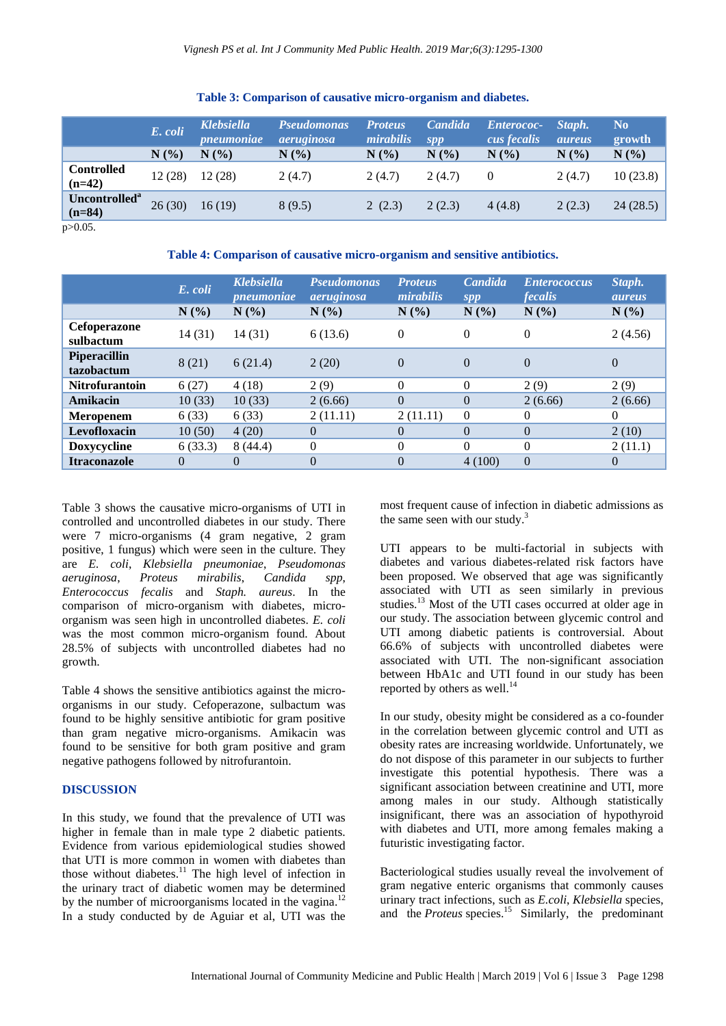|                                       | E. coli<br>N(%) | <b>Klebsiella</b><br><i>pneumoniae</i><br>N(% | <b>Pseudomonas</b><br><i>aeruginosa</i><br>$N(\%)$ | <b>Proteus</b><br>mirabilis<br>N(% | Candida<br>spp<br>$N(\%)$ | <b>Enterococ-</b><br>cus fecalis<br>N(% | Staph.<br><i>aureus</i><br>$N(\%)$ | No.<br>growth<br>N(%) |
|---------------------------------------|-----------------|-----------------------------------------------|----------------------------------------------------|------------------------------------|---------------------------|-----------------------------------------|------------------------------------|-----------------------|
| <b>Controlled</b><br>$(n=42)$         | 12(28)          | 12(28)                                        | 2(4.7)                                             | 2(4.7)                             | 2(4.7)                    |                                         | 2(4.7)                             | 10(23.8)              |
| Uncontrolled <sup>a</sup><br>$(n=84)$ | 26(30)          | 16(19)                                        | 8(9.5)                                             | 2(2.3)                             | 2(2.3)                    | 4(4.8)                                  | 2(2.3)                             | 24(28.5)              |
| $\sim$ $\sim$ $\sim$                  |                 |                                               |                                                    |                                    |                           |                                         |                                    |                       |

### **Table 3: Comparison of causative micro-organism and diabetes.**

p>0.05.

**Table 4: Comparison of causative micro-organism and sensitive antibiotics.**

|                                   | E. coli  | <b>Klebsiella</b><br><i>pneumoniae</i> | <b>Pseudomonas</b><br>aeruginosa | <b>Proteus</b><br>mirabilis | Candida<br>spp | <b>Enterococcus</b><br><i>fecalis</i> | Staph.<br><i>aureus</i> |
|-----------------------------------|----------|----------------------------------------|----------------------------------|-----------------------------|----------------|---------------------------------------|-------------------------|
|                                   | N(%)     | N(%)                                   | N(%)                             | N(%)                        | N(%)           | N(%)                                  | N(%)                    |
| <b>Cefoperazone</b><br>sulbactum  | 14(31)   | 14(31)                                 | 6(13.6)                          | $\Omega$                    | $\theta$       | $\overline{0}$                        | 2(4.56)                 |
| <b>Piperacillin</b><br>tazobactum | 8(21)    | 6(21.4)                                | 2(20)                            | $\Omega$                    | $\Omega$       | $\Omega$                              | $\theta$                |
| Nitrofurantoin                    | 6(27)    | 4(18)                                  | 2(9)                             | $\Omega$                    | $\theta$       | 2(9)                                  | 2(9)                    |
| Amikacin                          | 10(33)   | 10(33)                                 | 2(6.66)                          | $\Omega$                    | $\Omega$       | 2(6.66)                               | 2(6.66)                 |
| <b>Meropenem</b>                  | 6(33)    | 6(33)                                  | 2(11.11)                         | 2(11.11)                    | $\theta$       | 0                                     | $\Omega$                |
| Levofloxacin                      | 10(50)   | 4(20)                                  | $\Omega$                         | $\Omega$                    | $\theta$       | $\theta$                              | 2(10)                   |
| Doxycycline                       | 6(33.3)  | 8(44.4)                                | $\theta$                         | 0                           | $\Omega$       | $\theta$                              | 2(11.1)                 |
| <b>Itraconazole</b>               | $\theta$ | $\Omega$                               | $\Omega$                         | $\theta$                    | 4(100)         | $\overline{0}$                        | $\theta$                |

Table 3 shows the causative micro-organisms of UTI in controlled and uncontrolled diabetes in our study. There were 7 micro-organisms (4 gram negative, 2 gram positive, 1 fungus) which were seen in the culture. They are *E. coli*, *Klebsiella pneumoniae*, *Pseudomonas aeruginosa*, *Proteus mirabilis*, *Candida spp*, *Enterococcus fecalis* and *Staph. aureus*. In the comparison of micro-organism with diabetes, microorganism was seen high in uncontrolled diabetes. *E. coli* was the most common micro-organism found. About 28.5% of subjects with uncontrolled diabetes had no growth.

Table 4 shows the sensitive antibiotics against the microorganisms in our study. Cefoperazone, sulbactum was found to be highly sensitive antibiotic for gram positive than gram negative micro-organisms. Amikacin was found to be sensitive for both gram positive and gram negative pathogens followed by nitrofurantoin.

#### **DISCUSSION**

In this study, we found that the prevalence of UTI was higher in female than in male type 2 diabetic patients. Evidence from various epidemiological studies showed that UTI is more common in women with diabetes than those without diabetes.<sup>11</sup> The high level of infection in the urinary tract of diabetic women may be determined by the number of microorganisms located in the vagina.<sup>12</sup> In a study conducted by de Aguiar et al, UTI was the most frequent cause of infection in diabetic admissions as the same seen with our study.<sup>3</sup>

UTI appears to be multi-factorial in subjects with diabetes and various diabetes-related risk factors have been proposed. We observed that age was significantly associated with UTI as seen similarly in previous studies. <sup>13</sup> Most of the UTI cases occurred at older age in our study. The association between glycemic control and UTI among diabetic patients is controversial. About 66.6% of subjects with uncontrolled diabetes were associated with UTI. The non-significant association between HbA1c and UTI found in our study has been reported by others as well.<sup>14</sup>

In our study, obesity might be considered as a co-founder in the correlation between glycemic control and UTI as obesity rates are increasing worldwide. Unfortunately, we do not dispose of this parameter in our subjects to further investigate this potential hypothesis. There was a significant association between creatinine and UTI, more among males in our study. Although statistically insignificant, there was an association of hypothyroid with diabetes and UTI, more among females making a futuristic investigating factor.

Bacteriological studies usually reveal the involvement of gram negative enteric organisms that commonly causes urinary tract infections, such as *E.coli*, *Klebsiella* species, and the *Proteus* species. <sup>15</sup> Similarly, the predominant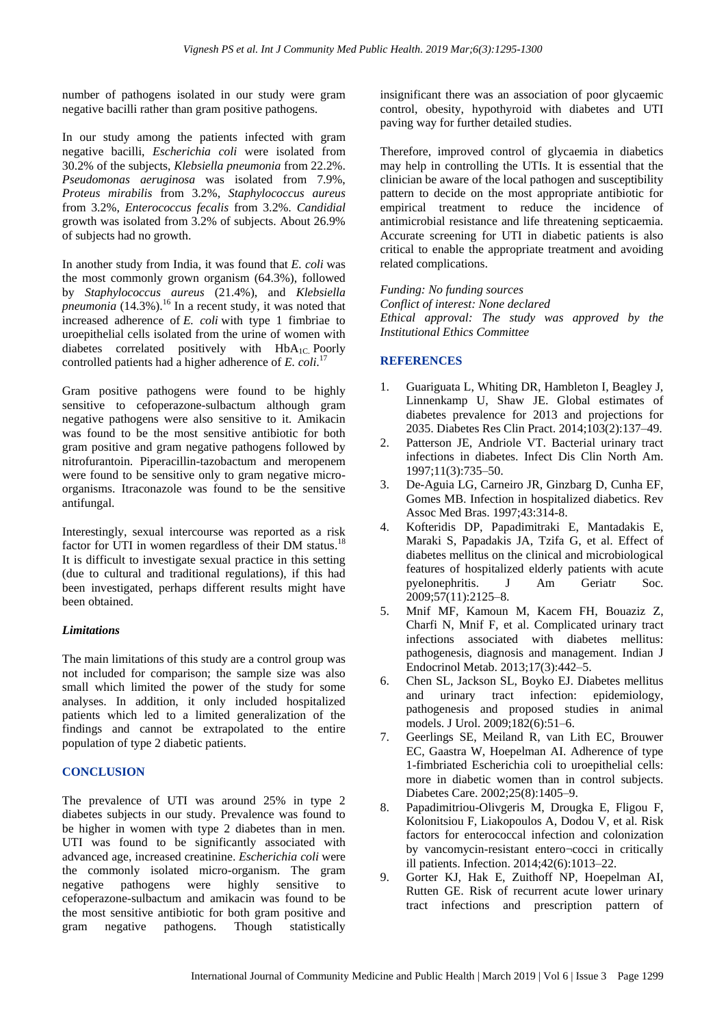number of pathogens isolated in our study were gram negative bacilli rather than gram positive pathogens.

In our study among the patients infected with gram negative bacilli, *Escherichia coli* were isolated from 30.2% of the subjects, *Klebsiella pneumonia* from 22.2%. *Pseudomonas aeruginosa* was isolated from 7.9%, *Proteus mirabilis* from 3.2%, *Staphylococcus aureus* from 3.2%, *Enterococcus fecalis* from 3.2%. *Candidial* growth was isolated from 3.2% of subjects. About 26.9% of subjects had no growth.

In another study from India, it was found that *E. coli* was the most commonly grown organism (64.3%), followed by *Staphylococcus aureus* (21.4%), and *Klebsiella pneumonia* (14.3%). <sup>16</sup> In a recent study, it was noted that increased adherence of *E. coli* with type 1 fimbriae to uroepithelial cells isolated from the urine of women with diabetes correlated positively with  $HbA_{1C}$  Poorly controlled patients had a higher adherence of *E. coli*. 17

Gram positive pathogens were found to be highly sensitive to cefoperazone-sulbactum although gram negative pathogens were also sensitive to it. Amikacin was found to be the most sensitive antibiotic for both gram positive and gram negative pathogens followed by nitrofurantoin. Piperacillin-tazobactum and meropenem were found to be sensitive only to gram negative microorganisms. Itraconazole was found to be the sensitive antifungal.

Interestingly, sexual intercourse was reported as a risk factor for UTI in women regardless of their DM status.<sup>18</sup> It is difficult to investigate sexual practice in this setting (due to cultural and traditional regulations), if this had been investigated, perhaps different results might have been obtained.

# *Limitations*

The main limitations of this study are a control group was not included for comparison; the sample size was also small which limited the power of the study for some analyses. In addition, it only included hospitalized patients which led to a limited generalization of the findings and cannot be extrapolated to the entire population of type 2 diabetic patients.

# **CONCLUSION**

The prevalence of UTI was around 25% in type 2 diabetes subjects in our study. Prevalence was found to be higher in women with type 2 diabetes than in men. UTI was found to be significantly associated with advanced age, increased creatinine. *Escherichia coli* were the commonly isolated micro-organism. The gram negative pathogens were highly sensitive to cefoperazone-sulbactum and amikacin was found to be the most sensitive antibiotic for both gram positive and gram negative pathogens. Though statistically

insignificant there was an association of poor glycaemic control, obesity, hypothyroid with diabetes and UTI paving way for further detailed studies.

Therefore, improved control of glycaemia in diabetics may help in controlling the UTIs. It is essential that the clinician be aware of the local pathogen and susceptibility pattern to decide on the most appropriate antibiotic for empirical treatment to reduce the incidence of antimicrobial resistance and life threatening septicaemia. Accurate screening for UTI in diabetic patients is also critical to enable the appropriate treatment and avoiding related complications.

*Funding: No funding sources Conflict of interest: None declared Ethical approval: The study was approved by the Institutional Ethics Committee*

## **REFERENCES**

- 1. Guariguata L, Whiting DR, Hambleton I, Beagley J, Linnenkamp U, Shaw JE. Global estimates of diabetes prevalence for 2013 and projections for 2035. Diabetes Res Clin Pract. 2014;103(2):137–49.
- 2. Patterson JE, Andriole VT. Bacterial urinary tract infections in diabetes. Infect Dis Clin North Am. 1997;11(3):735–50.
- 3. De-Aguia LG, Carneiro JR, Ginzbarg D, Cunha EF, Gomes MB. Infection in hospitalized diabetics. Rev Assoc Med Bras. 1997;43:314-8.
- 4. Kofteridis DP, Papadimitraki E, Mantadakis E, Maraki S, Papadakis JA, Tzifa G, et al. Effect of diabetes mellitus on the clinical and microbiological features of hospitalized elderly patients with acute pyelonephritis. J Am Geriatr Soc. 2009;57(11):2125–8.
- 5. Mnif MF, Kamoun M, Kacem FH, Bouaziz Z, Charfi N, Mnif F, et al. Complicated urinary tract infections associated with diabetes mellitus: pathogenesis, diagnosis and management. Indian J Endocrinol Metab. 2013;17(3):442–5.
- 6. Chen SL, Jackson SL, Boyko EJ. Diabetes mellitus and urinary tract infection: epidemiology, pathogenesis and proposed studies in animal models. J Urol. 2009;182(6):51–6.
- 7. Geerlings SE, Meiland R, van Lith EC, Brouwer EC, Gaastra W, Hoepelman AI. Adherence of type 1-fimbriated Escherichia coli to uroepithelial cells: more in diabetic women than in control subjects. Diabetes Care. 2002;25(8):1405–9.
- 8. Papadimitriou-Olivgeris M, Drougka E, Fligou F, Kolonitsiou F, Liakopoulos A, Dodou V, et al. Risk factors for enterococcal infection and colonization by vancomycin-resistant entero¬cocci in critically ill patients. Infection. 2014;42(6):1013–22.
- 9. Gorter KJ, Hak E, Zuithoff NP, Hoepelman AI, Rutten GE. Risk of recurrent acute lower urinary tract infections and prescription pattern of